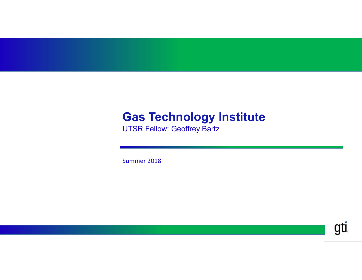#### **Gas Technology Institute**

UTSR Fellow: Geoffrey Bartz

Summer 2018

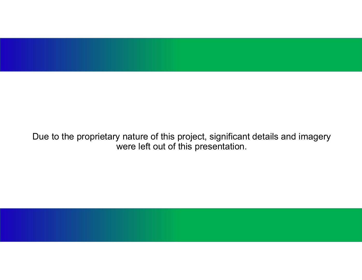

Due to the proprietary nature of this project, significant details and imagery were left out of this presentation.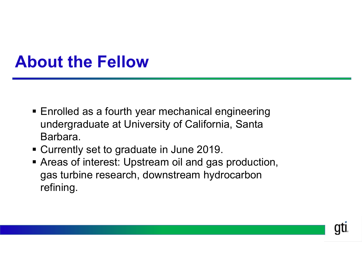## **About the Fellow**

- **Enrolled as a fourth year mechanical engineering** undergraduate at University of California, Santa Barbara.
- Currently set to graduate in June 2019.
- Areas of interest: Upstream oil and gas production, gas turbine research, downstream hydrocarbon refining.

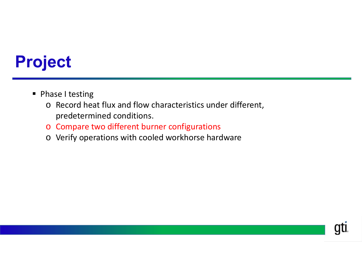# **Project**

- **Phase I testing** 
	- o Record heat flux and flow characteristics under different, predetermined conditions.
	- o Compare two different burner configurations
	- o Verify operations with cooled workhorse hardware

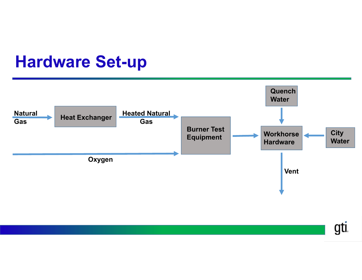### **Hardware Set-up**



gti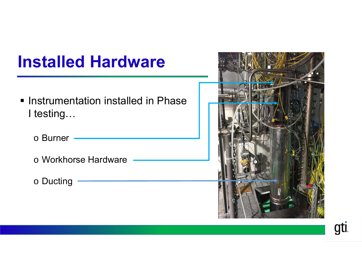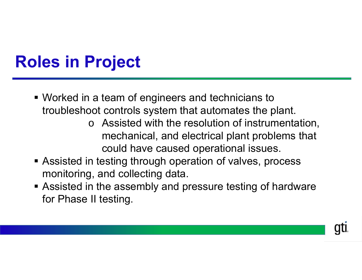# **Roles in Project**

- Worked in a team of engineers and technicians to troubleshoot controls system that automates the plant.
	- o Assisted with the resolution of instrumentation, mechanical, and electrical plant problems that could have caused operational issues.
- **Example 2 random Assisted in testing through operation of valves, process** monitoring, and collecting data.
- **Exagger Assisted in the assembly and pressure testing of hardware** for Phase II testing.